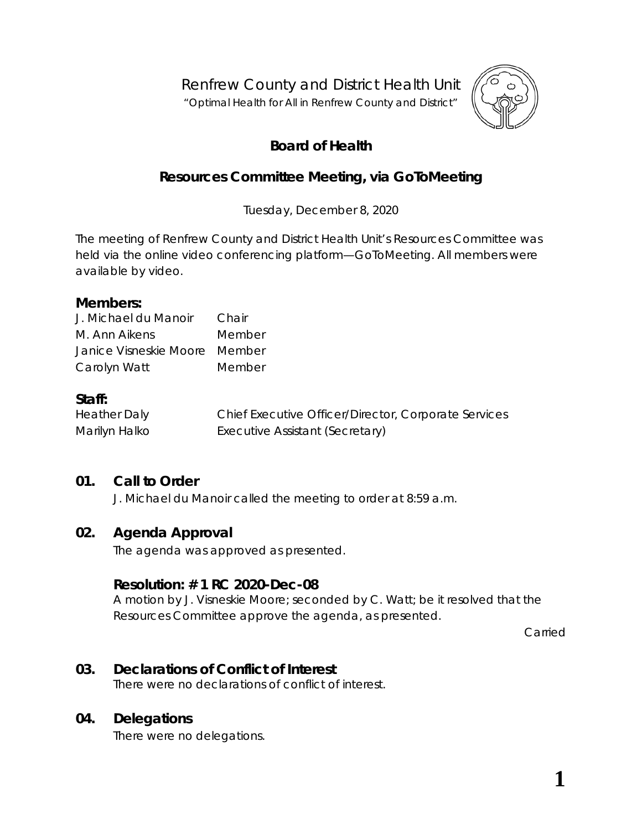Renfrew County and District Health Unit

"*Optimal Health for All in Renfrew County and District"*



# **Board of Health**

## **Resources Committee Meeting, via** *GoToMeeting*

Tuesday, December 8, 2020

The meeting of Renfrew County and District Health Unit's Resources Committee was held via the online video conferencing platform—*GoToMeeting*. All members were available by video.

#### **Members:**

| J. Michael du Manoir          | Chair  |
|-------------------------------|--------|
| M. Ann Aikens                 | Member |
| Janice Visneskie Moore Member |        |
| Carolyn Watt                  | Member |

#### **Staff:**

Heather Daly Chief Executive Officer/Director, Corporate Services Marilyn Halko **Executive Assistant (Secretary)** 

### **01. Call to Order**

J. Michael du Manoir called the meeting to order at 8:59 a.m.

#### **02. Agenda Approval**

The agenda was approved as presented.

#### **Resolution: # 1 RC 2020-Dec-08**

A motion by J. Visneskie Moore; seconded by C. Watt; be it resolved that the Resources Committee approve the agenda, as presented.

Carried

#### **03. Declarations of Conflict of Interest**

There were no declarations of conflict of interest.

#### **04. Delegations**

There were no delegations.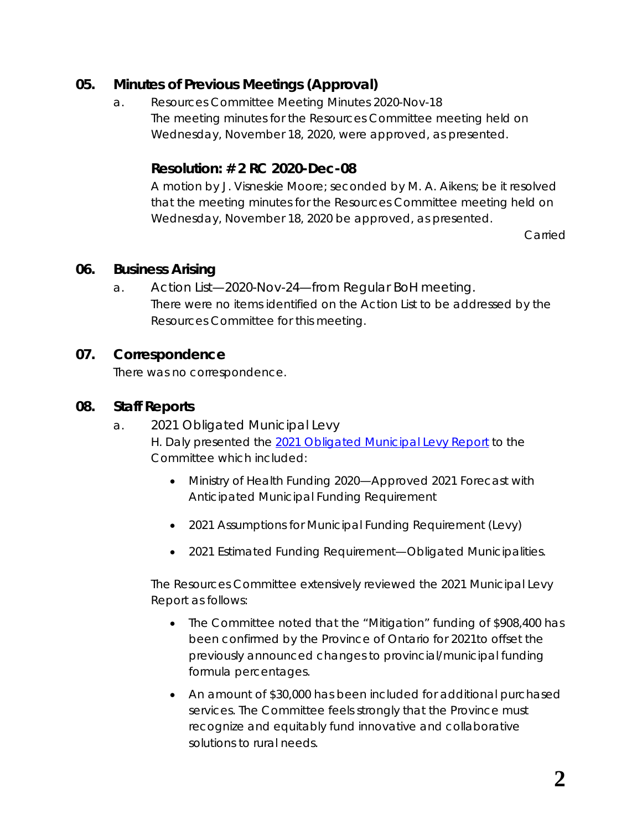### **05. Minutes of Previous Meetings (Approval)**

a. Resources Committee Meeting Minutes 2020-Nov-18 The meeting minutes for the Resources Committee meeting held on Wednesday, November 18, 2020, were approved, as presented.

### **Resolution: # 2 RC 2020-Dec-08**

A motion by J. Visneskie Moore; seconded by M. A. Aikens; be it resolved that the meeting minutes for the Resources Committee meeting held on Wednesday, November 18, 2020 be approved, as presented.

Carried

#### **06. Business Arising**

a. Action List—2020-Nov-24—from Regular BoH meeting. There were no items identified on the Action List to be addressed by the Resources Committee for this meeting.

### **07. Correspondence**

There was no correspondence.

### **08. Staff Reports**

- a. 2021 Obligated Municipal Levy H. Daly presented the *[2021 Obligated Municipal Levy](https://www.rcdhu.com/wp-content/uploads/2021/02/2021-Obligated-Municipal-Levy.pdf)* Report to the Committee which included:
	- Ministry of Health Funding 2020—Approved 2021 Forecast with Anticipated Municipal Funding Requirement
	- 2021 Assumptions for Municipal Funding Requirement (Levy)
	- 2021 Estimated Funding Requirement—Obligated Municipalities.

The Resources Committee extensively reviewed the 2021 Municipal Levy Report as follows:

- The Committee noted that the "Mitigation" funding of \$908,400 has been confirmed by the Province of Ontario for 2021to offset the previously announced changes to provincial/municipal funding formula percentages.
- An amount of \$30,000 has been included for additional purchased services. The Committee feels strongly that the Province must recognize and equitably fund innovative and collaborative solutions to rural needs.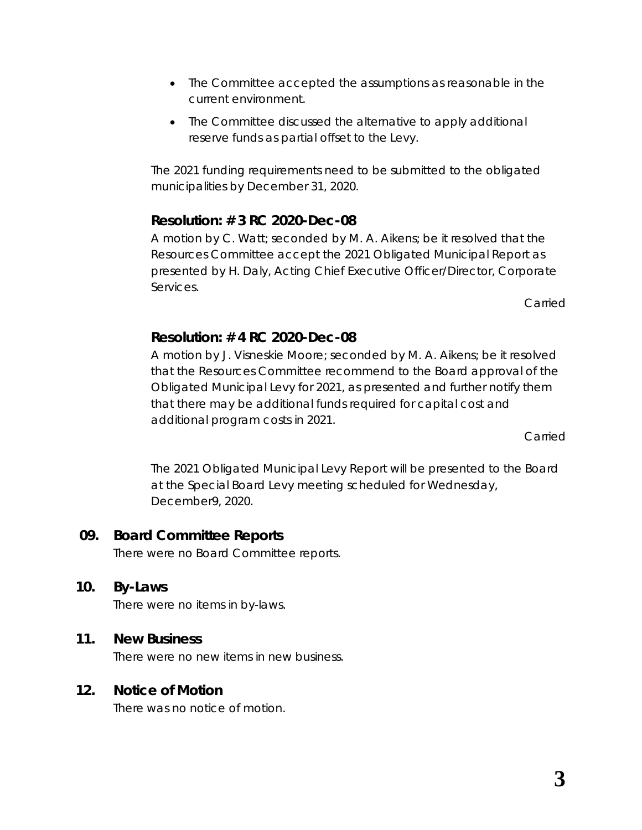- The Committee accepted the assumptions as reasonable in the current environment.
- The Committee discussed the alternative to apply additional reserve funds as partial offset to the Levy.

The 2021 funding requirements need to be submitted to the obligated municipalities by December 31, 2020.

## **Resolution: # 3 RC 2020-Dec-08**

A motion by C. Watt; seconded by M. A. Aikens; be it resolved that the Resources Committee accept the 2021 Obligated Municipal Report as presented by H. Daly, Acting Chief Executive Officer/Director, Corporate Services.

Carried

### **Resolution: # 4 RC 2020-Dec-08**

A motion by J. Visneskie Moore; seconded by M. A. Aikens; be it resolved that the Resources Committee recommend to the Board approval of the Obligated Municipal Levy for 2021, as presented and further notify them that there may be additional funds required for capital cost and additional program costs in 2021.

Carried

The 2021 Obligated Municipal Levy Report will be presented to the Board at the Special Board Levy meeting scheduled for Wednesday, December9, 2020.

### **09. Board Committee Reports**

There were no Board Committee reports.

### **10. By-Laws**

There were no items in by-laws.

### **11. New Business**

There were no new items in new business.

### **12. Notice of Motion**

There was no notice of motion.